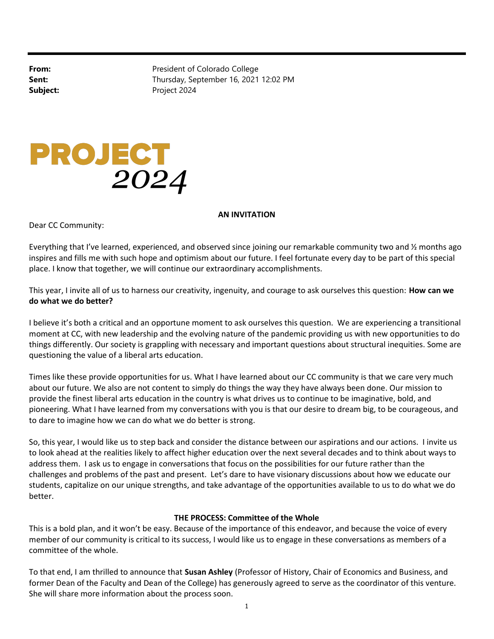From: President of Colorado College Sent: Sent: Thursday, September 16, 2021 12:02 PM Subject: Project 2024

## PROJECT<br>2024

## AN INVITATION

Dear CC Community:

Everything that I've learned, experienced, and observed since joining our remarkable community two and 1/2 months ago inspires and fills me with such hope and optimism about our future. I feel fortunate every day to be part of this special place. I know that together, we will continue our extraordinary accomplishments.

This year, I invite all of us to harness our creativity, ingenuity, and courage to ask ourselves this question: How can we do what we do better?

I believe it's both a critical and an opportune moment to ask ourselves this question. We are experiencing a transitional moment at CC, with new leadership and the evolving nature of the pandemic providing us with new opportunities to do things differently. Our society is grappling with necessary and important questions about structural inequities. Some are questioning the value of a liberal arts education.

Times like these provide opportunities for us. What I have learned about our CC community is that we care very much about our future. We also are not content to simply do things the way they have always been done. Our mission to provide the finest liberal arts education in the country is what drives us to continue to be imaginative, bold, and pioneering. What I have learned from my conversations with you is that our desire to dream big, to be courageous, and to dare to imagine how we can do what we do better is strong.

So, this year, I would like us to step back and consider the distance between our aspirations and our actions. I invite us to look ahead at the realities likely to affect higher education over the next several decades and to think about ways to address them. I ask us to engage in conversations that focus on the possibilities for our future rather than the challenges and problems of the past and present. Let's dare to have visionary discussions about how we educate our students, capitalize on our unique strengths, and take advantage of the opportunities available to us to do what we do better.

## THE PROCESS: Committee of the Whole

This is a bold plan, and it won't be easy. Because of the importance of this endeavor, and because the voice of every member of our community is critical to its success, I would like us to engage in these conversations as members of a committee of the whole.

To that end, I am thrilled to announce that Susan Ashley (Professor of History, Chair of Economics and Business, and former Dean of the Faculty and Dean of the College) has generously agreed to serve as the coordinator of this venture. She will share more information about the process soon.